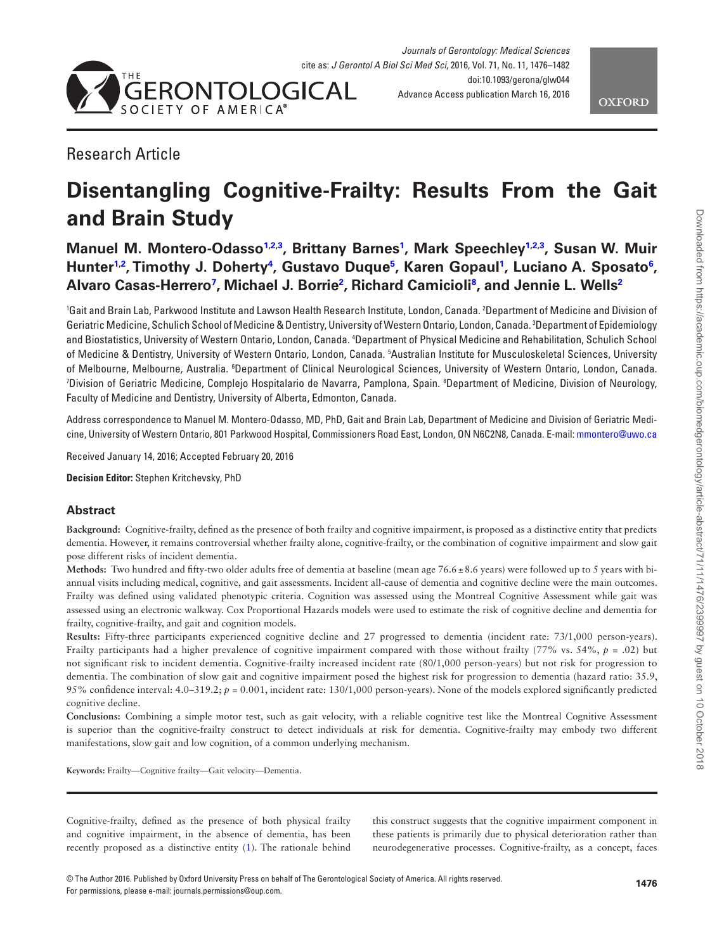



# Research Article

# **Disentangling Cognitive-Frailty: Results From the Gait and Brain Study**

**Manuel M. Montero-Odasso[1,](#page-0-0)[2,](#page-0-1)[3](#page-0-2) , Brittany Barnes[1](#page-0-0) , Mark Speechle[y1](#page-0-0)[,2](#page-0-1)[,3](#page-0-2) , Susan W. Muir**  Hunter<sup>[1,](#page-0-0)[2](#page-0-1)</sup>, Timothy J. Doherty<sup>[4](#page-0-3)</sup>, Gustavo Duque<sup>5</sup>, Karen Gopaul<sup>[1](#page-0-0)</sup>, Luciano A. Sposato<sup>[6](#page-0-5)</sup>, **Alvaro Casas-Herrer[o7](#page-0-6) , Michael J. Borrie[2](#page-0-1) , Richard Camicioli[8](#page-0-7) , and Jennie L. Well[s2](#page-0-1)**

<span id="page-0-4"></span><span id="page-0-3"></span><span id="page-0-2"></span><span id="page-0-1"></span><span id="page-0-0"></span>1 Gait and Brain Lab, Parkwood Institute and Lawson Health Research Institute, London, Canada. 2 Department of Medicine and Division of Geriatric Medicine, Schulich School of Medicine & Dentistry, University of Western Ontario, London, Canada. 3 Department of Epidemiology and Biostatistics, University of Western Ontario, London, Canada. 4 Department of Physical Medicine and Rehabilitation, Schulich School of Medicine & Dentistry, University of Western Ontario, London, Canada. 5 Australian Institute for Musculoskeletal Sciences, University of Melbourne, Melbourne, Australia. <sup>6</sup>Department of Clinical Neurological Sciences, University of Western Ontario, London, Canada. <sup>7</sup>Division of Geriatric Medicine, Complejo Hospitalario de Navarra, Pamplona, Spain. ®Department of Medicine, Division of Neurology, Faculty of Medicine and Dentistry, University of Alberta, Edmonton, Canada.

<span id="page-0-7"></span><span id="page-0-6"></span><span id="page-0-5"></span>Address correspondence to Manuel M. Montero-Odasso, MD, PhD, Gait and Brain Lab, Department of Medicine and Division of Geriatric Medicine, University of Western Ontario, 801 Parkwood Hospital, Commissioners Road East, London, ON N6C2N8, Canada. E-mail: [mmontero@uwo.ca](mailto:mmontero@uwo.ca?subject=)

Received January 14, 2016; Accepted February 20, 2016

**Decision Editor:** Stephen Kritchevsky, PhD

# **Abstract**

**Background:** Cognitive-frailty, defined as the presence of both frailty and cognitive impairment, is proposed as a distinctive entity that predicts dementia. However, it remains controversial whether frailty alone, cognitive-frailty, or the combination of cognitive impairment and slow gait pose different risks of incident dementia.

**Methods:** Two hundred and fifty-two older adults free of dementia at baseline (mean age 76.6±8.6 years) were followed up to 5 years with biannual visits including medical, cognitive, and gait assessments. Incident all-cause of dementia and cognitive decline were the main outcomes. Frailty was defined using validated phenotypic criteria. Cognition was assessed using the Montreal Cognitive Assessment while gait was assessed using an electronic walkway. Cox Proportional Hazards models were used to estimate the risk of cognitive decline and dementia for frailty, cognitive-frailty, and gait and cognition models.

**Results:** Fifty-three participants experienced cognitive decline and 27 progressed to dementia (incident rate: 73/1,000 person-years). Frailty participants had a higher prevalence of cognitive impairment compared with those without frailty (77% vs. 54%, *p* = .02) but not significant risk to incident dementia. Cognitive-frailty increased incident rate (80/1,000 person-years) but not risk for progression to dementia. The combination of slow gait and cognitive impairment posed the highest risk for progression to dementia (hazard ratio: 35.9, 95% confidence interval: 4.0–319.2; *p* = 0.001, incident rate: 130/1,000 person-years). None of the models explored significantly predicted cognitive decline.

**Conclusions:** Combining a simple motor test, such as gait velocity, with a reliable cognitive test like the Montreal Cognitive Assessment is superior than the cognitive-frailty construct to detect individuals at risk for dementia. Cognitive-frailty may embody two different manifestations, slow gait and low cognition, of a common underlying mechanism.

**Keywords:** Frailty—Cognitive frailty—Gait velocity—Dementia.

Cognitive-frailty, defined as the presence of both physical frailty and cognitive impairment, in the absence of dementia, has been recently proposed as a distinctive entity [\(1\)](#page-5-0). The rationale behind

this construct suggests that the cognitive impairment component in these patients is primarily due to physical deterioration rather than neurodegenerative processes. Cognitive-frailty, as a concept, faces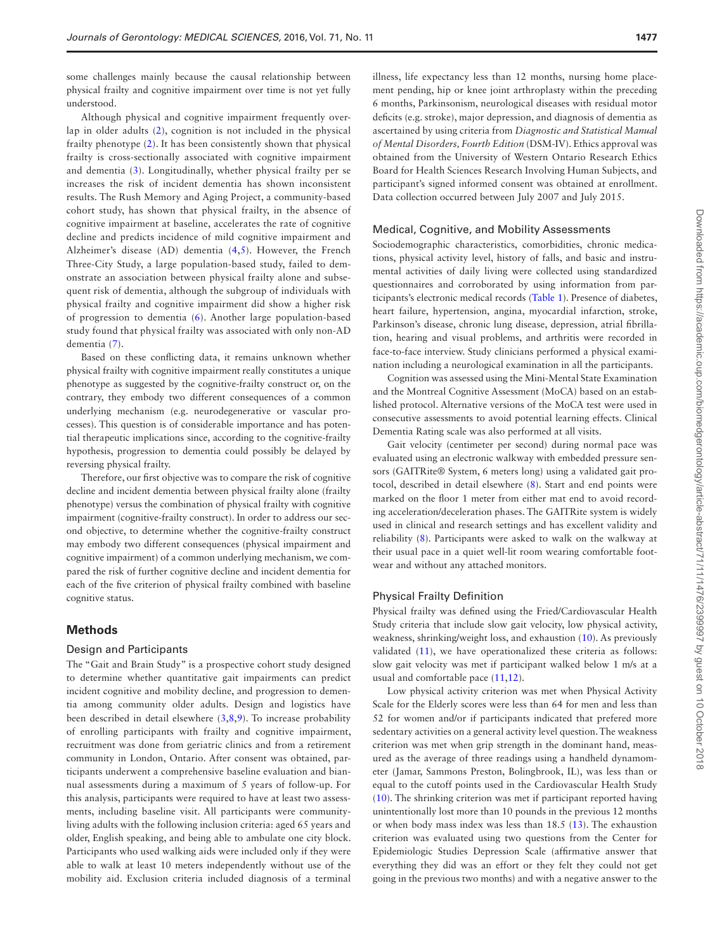some challenges mainly because the causal relationship between physical frailty and cognitive impairment over time is not yet fully understood.

Although physical and cognitive impairment frequently overlap in older adults [\(2\)](#page-5-1), cognition is not included in the physical frailty phenotype ([2](#page-5-1)). It has been consistently shown that physical frailty is cross-sectionally associated with cognitive impairment and dementia [\(3\)](#page-5-2). Longitudinally, whether physical frailty per se increases the risk of incident dementia has shown inconsistent results. The Rush Memory and Aging Project, a community-based cohort study, has shown that physical frailty, in the absence of cognitive impairment at baseline, accelerates the rate of cognitive decline and predicts incidence of mild cognitive impairment and Alzheimer's disease (AD) dementia ([4](#page-5-3),[5](#page-6-0)). However, the French Three-City Study, a large population-based study, failed to demonstrate an association between physical frailty alone and subsequent risk of dementia, although the subgroup of individuals with physical frailty and cognitive impairment did show a higher risk of progression to dementia [\(6\)](#page-6-1). Another large population-based study found that physical frailty was associated with only non-AD dementia [\(7\)](#page-6-2).

Based on these conflicting data, it remains unknown whether physical frailty with cognitive impairment really constitutes a unique phenotype as suggested by the cognitive-frailty construct or, on the contrary, they embody two different consequences of a common underlying mechanism (e.g. neurodegenerative or vascular processes). This question is of considerable importance and has potential therapeutic implications since, according to the cognitive-frailty hypothesis, progression to dementia could possibly be delayed by reversing physical frailty.

Therefore, our first objective was to compare the risk of cognitive decline and incident dementia between physical frailty alone (frailty phenotype) versus the combination of physical frailty with cognitive impairment (cognitive-frailty construct). In order to address our second objective, to determine whether the cognitive-frailty construct may embody two different consequences (physical impairment and cognitive impairment) of a common underlying mechanism, we compared the risk of further cognitive decline and incident dementia for each of the five criterion of physical frailty combined with baseline cognitive status.

# **Methods**

#### Design and Participants

The "Gait and Brain Study" is a prospective cohort study designed to determine whether quantitative gait impairments can predict incident cognitive and mobility decline, and progression to dementia among community older adults. Design and logistics have been described in detail elsewhere [\(3](#page-5-2)[,8,](#page-6-3)[9](#page-6-4)). To increase probability of enrolling participants with frailty and cognitive impairment, recruitment was done from geriatric clinics and from a retirement community in London, Ontario. After consent was obtained, participants underwent a comprehensive baseline evaluation and biannual assessments during a maximum of 5 years of follow-up. For this analysis, participants were required to have at least two assessments, including baseline visit. All participants were communityliving adults with the following inclusion criteria: aged 65 years and older, English speaking, and being able to ambulate one city block. Participants who used walking aids were included only if they were able to walk at least 10 meters independently without use of the mobility aid. Exclusion criteria included diagnosis of a terminal illness, life expectancy less than 12 months, nursing home placement pending, hip or knee joint arthroplasty within the preceding 6 months, Parkinsonism, neurological diseases with residual motor deficits (e.g. stroke), major depression, and diagnosis of dementia as ascertained by using criteria from *Diagnostic and Statistical Manual of Mental Disorders, Fourth Edition* (DSM-IV). Ethics approval was obtained from the University of Western Ontario Research Ethics Board for Health Sciences Research Involving Human Subjects, and participant's signed informed consent was obtained at enrollment. Data collection occurred between July 2007 and July 2015.

#### Medical, Cognitive, and Mobility Assessments

Sociodemographic characteristics, comorbidities, chronic medications, physical activity level, history of falls, and basic and instrumental activities of daily living were collected using standardized questionnaires and corroborated by using information from participants's electronic medical records ([Table 1](#page-2-0)). Presence of diabetes, heart failure, hypertension, angina, myocardial infarction, stroke, Parkinson's disease, chronic lung disease, depression, atrial fibrillation, hearing and visual problems, and arthritis were recorded in face-to-face interview. Study clinicians performed a physical examination including a neurological examination in all the participants.

Cognition was assessed using the Mini-Mental State Examination and the Montreal Cognitive Assessment (MoCA) based on an established protocol. Alternative versions of the MoCA test were used in consecutive assessments to avoid potential learning effects. Clinical Dementia Rating scale was also performed at all visits.

Gait velocity (centimeter per second) during normal pace was evaluated using an electronic walkway with embedded pressure sensors (GAITRite® System, 6 meters long) using a validated gait protocol, described in detail elsewhere [\(8\)](#page-6-3). Start and end points were marked on the floor 1 meter from either mat end to avoid recording acceleration/deceleration phases. The GAITRite system is widely used in clinical and research settings and has excellent validity and reliability [\(8\)](#page-6-3). Participants were asked to walk on the walkway at their usual pace in a quiet well-lit room wearing comfortable footwear and without any attached monitors.

# Physical Frailty Definition

Physical frailty was defined using the Fried/Cardiovascular Health Study criteria that include slow gait velocity, low physical activity, weakness, shrinking/weight loss, and exhaustion [\(10](#page-6-5)). As previously validated ([11\)](#page-6-6), we have operationalized these criteria as follows: slow gait velocity was met if participant walked below 1 m/s at a usual and comfortable pace ([11,](#page-6-6)[12\)](#page-6-7).

Low physical activity criterion was met when Physical Activity Scale for the Elderly scores were less than 64 for men and less than 52 for women and/or if participants indicated that prefered more sedentary activities on a general activity level question. The weakness criterion was met when grip strength in the dominant hand, measured as the average of three readings using a handheld dynamometer (Jamar, Sammons Preston, Bolingbrook, IL), was less than or equal to the cutoff points used in the Cardiovascular Health Study [\(10](#page-6-5)). The shrinking criterion was met if participant reported having unintentionally lost more than 10 pounds in the previous 12 months or when body mass index was less than 18.5 ([13\)](#page-6-8). The exhaustion criterion was evaluated using two questions from the Center for Epidemiologic Studies Depression Scale (affirmative answer that everything they did was an effort or they felt they could not get going in the previous two months) and with a negative answer to the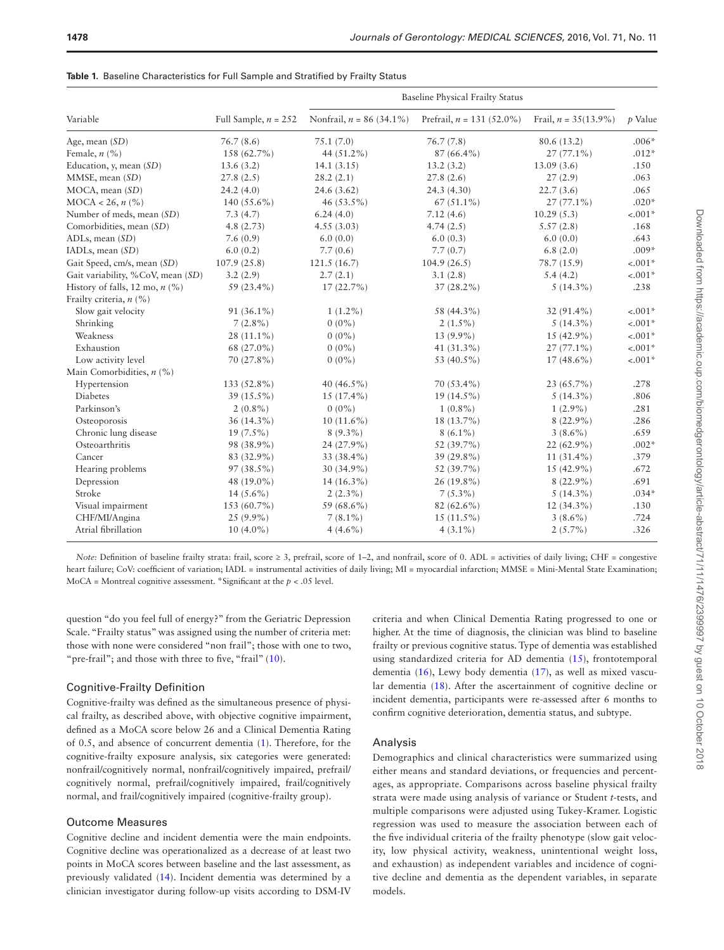|                                   | Full Sample, $n = 252$ | <b>Baseline Physical Frailty Status</b> |                             |                         |           |  |
|-----------------------------------|------------------------|-----------------------------------------|-----------------------------|-------------------------|-----------|--|
| Variable                          |                        | Nonfrail, $n = 86$ (34.1%)              | Prefrail, $n = 131$ (52.0%) | Frail, $n = 35(13.9\%)$ | $p$ Value |  |
| Age, mean $(SD)$                  | 76.7(8.6)              | 75.1(7.0)                               | 76.7(7.8)                   | 80.6 (13.2)             | $.006*$   |  |
| Female, $n$ (%)                   | 158 (62.7%)            | 44 (51.2%)                              | $87(66.4\%)$                | $27(77.1\%)$            | $.012*$   |  |
| Education, $y$ , mean $(SD)$      | 13.6(3.2)              | 14.1(3.15)                              | 13.2(3.2)                   | 13.09(3.6)              | .150      |  |
| MMSE, mean (SD)                   | 27.8(2.5)              | 28.2(2.1)                               | 27.8(2.6)                   | 27(2.9)                 | .063      |  |
| MOCA, mean (SD)                   | 24.2(4.0)              | 24.6 (3.62)                             | 24.3 (4.30)                 | 22.7(3.6)               | .065      |  |
| $MOCA < 26$ , $n$ (%)             | 140 $(55.6\%)$         | 46 (53.5%)                              | $67(51.1\%)$                | $27(77.1\%)$            | $.020*$   |  |
| Number of meds, mean (SD)         | 7.3(4.7)               | 6.24(4.0)                               | 7.12(4.6)                   | 10.29(5.3)              | $-.001*$  |  |
| Comorbidities, mean (SD)          | 4.8(2.73)              | 4.55(3.03)                              | 4.74(2.5)                   | 5.57(2.8)               | .168      |  |
| ADLs, mean (SD)                   | 7.6(0.9)               | 6.0(0.0)                                | 6.0(0.3)                    | 6.0(0.0)                | .643      |  |
| IADLs, mean (SD)                  | 6.0(0.2)               | 7.7(0.6)                                | 7.7(0.7)                    | 6.8(2.0)                | $.009*$   |  |
| Gait Speed, cm/s, mean (SD)       | 107.9(25.8)            | 121.5(16.7)                             | 104.9(26.5)                 | 78.7 (15.9)             | $-.001*$  |  |
| Gait variability, %CoV, mean (SD) | 3.2(2.9)               | 2.7(2.1)                                | 3.1(2.8)                    | 5.4(4.2)                | $-.001*$  |  |
| History of falls, 12 mo, $n$ (%)  | 59 (23.4%)             | $17(22.7\%)$                            | $37(28.2\%)$                | $5(14.3\%)$             | .238      |  |
| Frailty criteria, $n$ (%)         |                        |                                         |                             |                         |           |  |
| Slow gait velocity                | $91(36.1\%)$           | $1(1.2\%)$                              | 58 (44.3%)                  | $32(91.4\%)$            | $-.001*$  |  |
| Shrinking                         | $7(2.8\%)$             | $0(0\%)$                                | $2(1.5\%)$                  | $5(14.3\%)$             | $-.001*$  |  |
| Weakness                          | $28(11.1\%)$           | $0(0\%)$                                | 13 (9.9%)                   | 15 (42.9%)              | $-.001*$  |  |
| Exhaustion                        | 68 (27.0%)             | $0(0\%)$                                | 41 $(31.3\%)$               | $27(77.1\%)$            | $-.001*$  |  |
| Low activity level                | 70 (27.8%)             | $0(0\%)$                                | 53 (40.5%)                  | $17(48.6\%)$            | $-.001*$  |  |
| Main Comorbidities, $n$ (%)       |                        |                                         |                             |                         |           |  |
| Hypertension                      | 133 (52.8%)            | 40 $(46.5\%)$                           | 70 (53.4%)                  | $23(65.7\%)$            | .278      |  |
| Diabetes                          | $39(15.5\%)$           | $15(17.4\%)$                            | $19(14.5\%)$                | $5(14.3\%)$             | .806      |  |
| Parkinson's                       | $2(0.8\%)$             | $0(0\%)$                                | $1(0.8\%)$                  | $1(2.9\%)$              | .281      |  |
| Osteoporosis                      | 36 (14.3%)             | $10(11.6\%)$                            | 18 (13.7%)                  | $8(22.9\%)$             | .286      |  |
| Chronic lung disease              | $19(7.5\%)$            | $8(9.3\%)$                              | $8(6.1\%)$                  | $3(8.6\%)$              | .659      |  |
| Osteoarthritis                    | 98 (38.9%)             | 24 (27.9%)                              | 52 (39.7%)                  | $22(62.9\%)$            | $.002*$   |  |
| Cancer                            | 83 (32.9%)             | 33 (38.4%)                              | 39 (29.8%)                  | 11 $(31.4\%)$           | .379      |  |
| Hearing problems                  | $97(38.5\%)$           | 30 (34.9%)                              | 52 (39.7%)                  | $15(42.9\%)$            | .672      |  |
| Depression                        | 48 (19.0%)             | $14(16.3\%)$                            | 26 (19.8%)                  | $8(22.9\%)$             | .691      |  |
| Stroke                            | 14 $(5.6\%)$           | $2(2.3\%)$                              | $7(5.3\%)$                  | $5(14.3\%)$             | $.034*$   |  |
| Visual impairment                 | 153 (60.7%)            | 59 (68.6%)                              | $82(62.6\%)$                | $12(34.3\%)$            | .130      |  |
| CHF/MI/Angina                     | $25(9.9\%)$            | $7(8.1\%)$                              | $15(11.5\%)$                | $3(8.6\%)$              | .724      |  |
| Atrial fibrillation               | $10(4.0\%)$            | $4(4.6\%)$                              | $4(3.1\%)$                  | $2(5.7\%)$              | .326      |  |

<span id="page-2-0"></span>

|  |  | Table 1. Baseline Characteristics for Full Sample and Stratified by Frailty Status |  |  |  |  |
|--|--|------------------------------------------------------------------------------------|--|--|--|--|
|--|--|------------------------------------------------------------------------------------|--|--|--|--|

*Note:* Definition of baseline frailty strata: frail, score ≥ 3, prefrail, score of 1–2, and nonfrail, score of 0. ADL = activities of daily living; CHF = congestive heart failure; CoV: coefficient of variation; IADL = instrumental activities of daily living; MI = myocardial infarction; MMSE = Mini-Mental State Examination; MoCA = Montreal cognitive assessment. \*Significant at the *p* < .05 level.

question "do you feel full of energy?" from the Geriatric Depression Scale. "Frailty status" was assigned using the number of criteria met: those with none were considered "non frail"; those with one to two, "pre-frail"; and those with three to five, "frail" [\(10](#page-6-5)).

#### Cognitive-Frailty Definition

Cognitive-frailty was defined as the simultaneous presence of physical frailty, as described above, with objective cognitive impairment, defined as a MoCA score below 26 and a Clinical Dementia Rating of 0.5, and absence of concurrent dementia [\(1\)](#page-5-0). Therefore, for the cognitive-frailty exposure analysis, six categories were generated: nonfrail/cognitively normal, nonfrail/cognitively impaired, prefrail/ cognitively normal, prefrail/cognitively impaired, frail/cognitively normal, and frail/cognitively impaired (cognitive-frailty group).

#### Outcome Measures

Cognitive decline and incident dementia were the main endpoints. Cognitive decline was operationalized as a decrease of at least two points in MoCA scores between baseline and the last assessment, as previously validated [\(14](#page-6-9)). Incident dementia was determined by a clinician investigator during follow-up visits according to DSM-IV

criteria and when Clinical Dementia Rating progressed to one or higher. At the time of diagnosis, the clinician was blind to baseline frailty or previous cognitive status. Type of dementia was established using standardized criteria for AD dementia ([15\)](#page-6-10), frontotemporal dementia ([16\)](#page-6-11), Lewy body dementia [\(17\)](#page-6-12), as well as mixed vascular dementia [\(18\)](#page-6-13). After the ascertainment of cognitive decline or incident dementia, participants were re-assessed after 6 months to confirm cognitive deterioration, dementia status, and subtype.

#### Analysis

Demographics and clinical characteristics were summarized using either means and standard deviations, or frequencies and percentages, as appropriate. Comparisons across baseline physical frailty strata were made using analysis of variance or Student *t*-tests, and multiple comparisons were adjusted using Tukey-Kramer. Logistic regression was used to measure the association between each of the five individual criteria of the frailty phenotype (slow gait velocity, low physical activity, weakness, unintentional weight loss, and exhaustion) as independent variables and incidence of cognitive decline and dementia as the dependent variables, in separate models.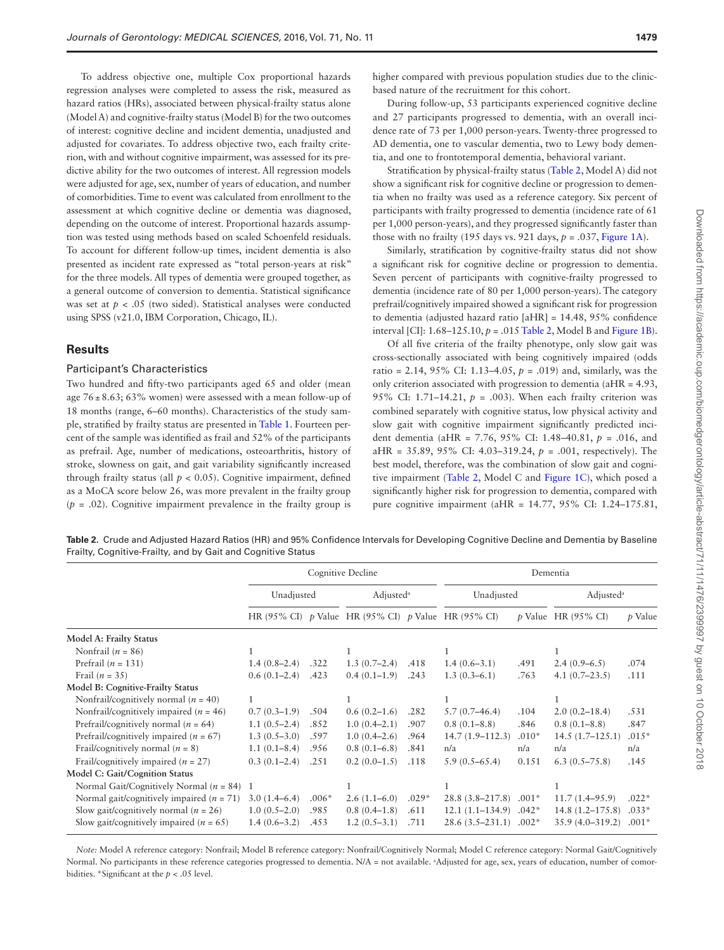To address objective one, multiple Cox proportional hazards regression analyses were completed to assess the risk, measured as hazard ratios (HRs), associated between physical-frailty status alone (Model A) and cognitive-frailty status (Model B) for the two outcomes of interest: cognitive decline and incident dementia, unadjusted and adjusted for covariates. To address objective two, each frailty criterion, with and without cognitive impairment, was assessed for its predictive ability for the two outcomes of interest. All regression models were adjusted for age, sex, number of years of education, and number of comorbidities. Time to event was calculated from enrollment to the assessment at which cognitive decline or dementia was diagnosed, depending on the outcome of interest. Proportional hazards assumption was tested using methods based on scaled Schoenfeld residuals. To account for different follow-up times, incident dementia is also presented as incident rate expressed as "total person-years at risk" for the three models. All types of dementia were grouped together, as a general outcome of conversion to dementia. Statistical significance was set at  $p < .05$  (two sided). Statistical analyses were conducted using SPSS (v21.0, IBM Corporation, Chicago, IL).

### **Results**

#### Participant's Characteristics

Two hundred and fifty-two participants aged 65 and older (mean age  $76 \pm 8.63$ ; 63% women) were assessed with a mean follow-up of 18 months (range, 6–60 months). Characteristics of the study sample, stratified by frailty status are presented in [Table 1](#page-2-0). Fourteen percent of the sample was identified as frail and 52% of the participants as prefrail. Age, number of medications, osteoarthritis, history of stroke, slowness on gait, and gait variability significantly increased through frailty status (all  $p < 0.05$ ). Cognitive impairment, defined as a MoCA score below 26, was more prevalent in the frailty group  $(p = .02)$ . Cognitive impairment prevalence in the frailty group is

During follow-up, 53 participants experienced cognitive decline and 27 participants progressed to dementia, with an overall incidence rate of 73 per 1,000 person-years. Twenty-three progressed to AD dementia, one to vascular dementia, two to Lewy body dementia, and one to frontotemporal dementia, behavioral variant.

Stratification by physical-frailty status ([Table 2](#page-3-0), Model A) did not show a significant risk for cognitive decline or progression to dementia when no frailty was used as a reference category. Six percent of participants with frailty progressed to dementia (incidence rate of 61 per 1,000 person-years), and they progressed significantly faster than those with no frailty (195 days vs. 921 days,  $p = .037$ , [Figure 1A\)](#page-4-0).

Similarly, stratification by cognitive-frailty status did not show a significant risk for cognitive decline or progression to dementia. Seven percent of participants with cognitive-frailty progressed to dementia (incidence rate of 80 per 1,000 person-years). The category prefrail/cognitively impaired showed a significant risk for progression to dementia (adjusted hazard ratio [aHR] = 14.48, 95% confidence interval [CI]: 1.68–125.10, *p* = .015 [Table 2,](#page-3-0) Model B and [Figure 1B](#page-4-0)).

Of all five criteria of the frailty phenotype, only slow gait was cross-sectionally associated with being cognitively impaired (odds ratio = 2.14, 95% CI: 1.13–4.05, *p* = .019) and, similarly, was the only criterion associated with progression to dementia (aHR = 4.93, 95% CI: 1.71–14.21,  $p = .003$ ). When each frailty criterion was combined separately with cognitive status, low physical activity and slow gait with cognitive impairment significantly predicted incident dementia (aHR = 7.76, 95% CI: 1.48–40.81, *p* = .016, and aHR = 35.89, 95% CI: 4.03–319.24, *p* = .001, respectively). The best model, therefore, was the combination of slow gait and cognitive impairment [\(Table 2](#page-3-0), Model C and [Figure 1C\)](#page-4-0), which posed a significantly higher risk for progression to dementia, compared with pure cognitive impairment (aHR = 14.77, 95% CI: 1.24–175.81,

<span id="page-3-0"></span>**Table 2.** Crude and Adjusted Hazard Ratios (HR) and 95% Confidence Intervals for Developing Cognitive Decline and Dementia by Baseline Frailty, Cognitive-Frailty, and by Gait and Cognitive Status

|                                                                                                                                         | Cognitive Decline                                  |                         |                                                     |                         | Dementia                                                      |                               |                                                                  |                               |
|-----------------------------------------------------------------------------------------------------------------------------------------|----------------------------------------------------|-------------------------|-----------------------------------------------------|-------------------------|---------------------------------------------------------------|-------------------------------|------------------------------------------------------------------|-------------------------------|
|                                                                                                                                         | Unadjusted                                         |                         | Adjusted <sup>a</sup>                               |                         | Unadjusted                                                    |                               | Adjusted <sup>a</sup>                                            |                               |
|                                                                                                                                         |                                                    |                         | HR (95% CI) p Value HR (95% CI) p Value HR (95% CI) |                         |                                                               |                               | $p$ Value HR (95% CI)                                            | $p$ Value                     |
| <b>Model A: Frailty Status</b>                                                                                                          |                                                    |                         |                                                     |                         |                                                               |                               |                                                                  |                               |
| Nonfrail $(n = 86)$                                                                                                                     |                                                    |                         |                                                     |                         |                                                               |                               |                                                                  |                               |
| Prefrail $(n = 131)$                                                                                                                    | $1.4(0.8-2.4)$                                     | .322                    | $1.3(0.7-2.4)$                                      | .418                    | $1.4(0.6-3.1)$                                                | .491                          | $2.4(0.9-6.5)$                                                   | .074                          |
| Frail $(n = 35)$                                                                                                                        | $0.6(0.1-2.4)$                                     | .423                    | $0.4(0.1-1.9)$                                      | .243                    | $1.3(0.3-6.1)$                                                | .763                          | $4.1(0.7-23.5)$                                                  | .111                          |
| <b>Model B: Cognitive-Frailty Status</b>                                                                                                |                                                    |                         |                                                     |                         |                                                               |                               |                                                                  |                               |
| Nonfrail/cognitively normal ( $n = 40$ )                                                                                                | 1                                                  |                         |                                                     |                         |                                                               |                               |                                                                  |                               |
| Nonfrail/cognitively impaired ( $n = 46$ )                                                                                              | $0.7(0.3-1.9)$                                     | .504                    | $0.6(0.2-1.6)$                                      | .282                    | $5.7(0.7-46.4)$                                               | .104                          | $2.0(0.2 - 18.4)$                                                | .531                          |
| Prefrail/cognitively normal ( $n = 64$ )                                                                                                | $1.1(0.5-2.4)$                                     | .852                    | $1.0(0.4-2.1)$                                      | .907                    | $0.8(0.1-8.8)$                                                | .846                          | $0.8(0.1-8.8)$                                                   | .847                          |
| Prefrail/cognitively impaired ( $n = 67$ )                                                                                              | $1.3(0.5-3.0)$                                     | .597                    | $1.0(0.4-2.6)$                                      | .964                    | $14.7(1.9 - 112.3)$                                           | $.010*$                       | $14.5(1.7-125.1)$                                                | $.015*$                       |
| Frail/cognitively normal ( $n = 8$ )                                                                                                    | $1.1(0.1-8.4)$                                     | .956                    | $0.8(0.1-6.8)$                                      | .841                    | n/a                                                           | n/a                           | n/a                                                              | n/a                           |
| Frail/cognitively impaired ( $n = 27$ )                                                                                                 | $0.3(0.1-2.4)$                                     | .251                    | $0.2(0.0-1.5)$                                      | .118                    | $5.9(0.5 - 65.4)$                                             | 0.151                         | $6.3(0.5 - 75.8)$                                                | .145                          |
| Model C: Gait/Cognition Status                                                                                                          |                                                    |                         |                                                     |                         |                                                               |                               |                                                                  |                               |
| Normal Gait/Cognitively Normal ( $n = 84$ ) 1                                                                                           |                                                    |                         |                                                     |                         |                                                               |                               |                                                                  |                               |
| Normal gait/cognitively impaired ( $n = 71$ )<br>Slow gait/cognitively normal ( $n = 26$ )<br>Slow gait/cognitively impaired $(n = 65)$ | $3.0(1.4-6.4)$<br>$1.0(0.5-2.0)$<br>$1.4(0.6-3.2)$ | $.006*$<br>.985<br>.453 | $2.6(1.1-6.0)$<br>$0.8(0.4-1.8)$<br>$1.2(0.5-3.1)$  | $.029*$<br>.611<br>.711 | $28.8(3.8 - 217.8)$<br>$12.1(1.1-134.9)$<br>$28.6(3.5-231.1)$ | $.001*$<br>$.042*$<br>$.002*$ | $11.7(1.4 - 95.9)$<br>$14.8(1.2 - 175.8)$<br>$35.9(4.0 - 319.2)$ | $.022*$<br>$.033*$<br>$.001*$ |
|                                                                                                                                         |                                                    |                         |                                                     |                         |                                                               |                               |                                                                  |                               |

*Note:* Model A reference category: Nonfrail; Model B reference category: Nonfrail/Cognitively Normal; Model C reference category: Normal Gait/Cognitively Normal. No participants in these reference categories progressed to dementia. N/A = not available. a Adjusted for age, sex, years of education, number of comorbidities. \*Significant at the *p* < .05 level.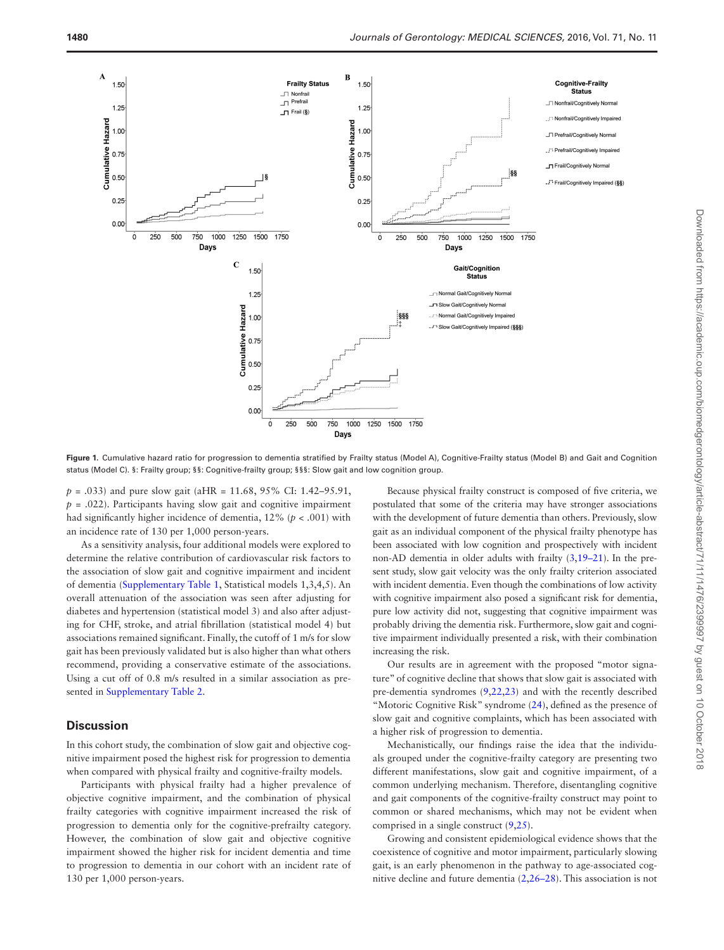

<span id="page-4-0"></span>Figure 1. Cumulative hazard ratio for progression to dementia stratified by Frailty status (Model A), Cognitive-Frailty status (Model B) and Gait and Cognition status (Model C). §: Frailty group; §§: Cognitive-frailty group; §§§: Slow gait and low cognition group.

*p* = .033) and pure slow gait (aHR = 11.68, 95% CI: 1.42–95.91,  $p = .022$ ). Participants having slow gait and cognitive impairment had significantly higher incidence of dementia, 12% (*p* < .001) with an incidence rate of 130 per 1,000 person-years.

As a sensitivity analysis, four additional models were explored to determine the relative contribution of cardiovascular risk factors to the association of slow gait and cognitive impairment and incident of dementia ([Supplementary Table 1](http://gerona.oxfordjournals.org/lookup/suppl/doi:10.1093/gerona/glw044/-/DC1), Statistical models 1,3,4,5). An overall attenuation of the association was seen after adjusting for diabetes and hypertension (statistical model 3) and also after adjusting for CHF, stroke, and atrial fibrillation (statistical model 4) but associations remained significant. Finally, the cutoff of 1 m/s for slow gait has been previously validated but is also higher than what others recommend, providing a conservative estimate of the associations. Using a cut off of 0.8 m/s resulted in a similar association as presented in [Supplementary Table 2.](http://biomedgerontology.oxfordjournals.org/lookup/suppl/doi:10.1093/gerona/glw044/-/DC1)

## **Discussion**

In this cohort study, the combination of slow gait and objective cognitive impairment posed the highest risk for progression to dementia when compared with physical frailty and cognitive-frailty models.

Participants with physical frailty had a higher prevalence of objective cognitive impairment, and the combination of physical frailty categories with cognitive impairment increased the risk of progression to dementia only for the cognitive-prefrailty category. However, the combination of slow gait and objective cognitive impairment showed the higher risk for incident dementia and time to progression to dementia in our cohort with an incident rate of 130 per 1,000 person-years.

Because physical frailty construct is composed of five criteria, we postulated that some of the criteria may have stronger associations with the development of future dementia than others. Previously, slow gait as an individual component of the physical frailty phenotype has been associated with low cognition and prospectively with incident non-AD dementia in older adults with frailty [\(3,](#page-5-2)[19–21](#page-6-14)). In the present study, slow gait velocity was the only frailty criterion associated with incident dementia. Even though the combinations of low activity with cognitive impairment also posed a significant risk for dementia, pure low activity did not, suggesting that cognitive impairment was probably driving the dementia risk. Furthermore, slow gait and cognitive impairment individually presented a risk, with their combination increasing the risk.

Our results are in agreement with the proposed "motor signature" of cognitive decline that shows that slow gait is associated with pre-dementia syndromes ([9](#page-6-4)[,22](#page-6-15)[,23](#page-6-16)) and with the recently described "Motoric Cognitive Risk" syndrome [\(24](#page-6-17)), defined as the presence of slow gait and cognitive complaints, which has been associated with a higher risk of progression to dementia.

Mechanistically, our findings raise the idea that the individuals grouped under the cognitive-frailty category are presenting two different manifestations, slow gait and cognitive impairment, of a common underlying mechanism. Therefore, disentangling cognitive and gait components of the cognitive-frailty construct may point to common or shared mechanisms, which may not be evident when comprised in a single construct [\(9,](#page-6-4)[25\)](#page-6-18).

Growing and consistent epidemiological evidence shows that the coexistence of cognitive and motor impairment, particularly slowing gait, is an early phenomenon in the pathway to age-associated cognitive decline and future dementia ([2](#page-5-1)[,26–28](#page-6-19)). This association is not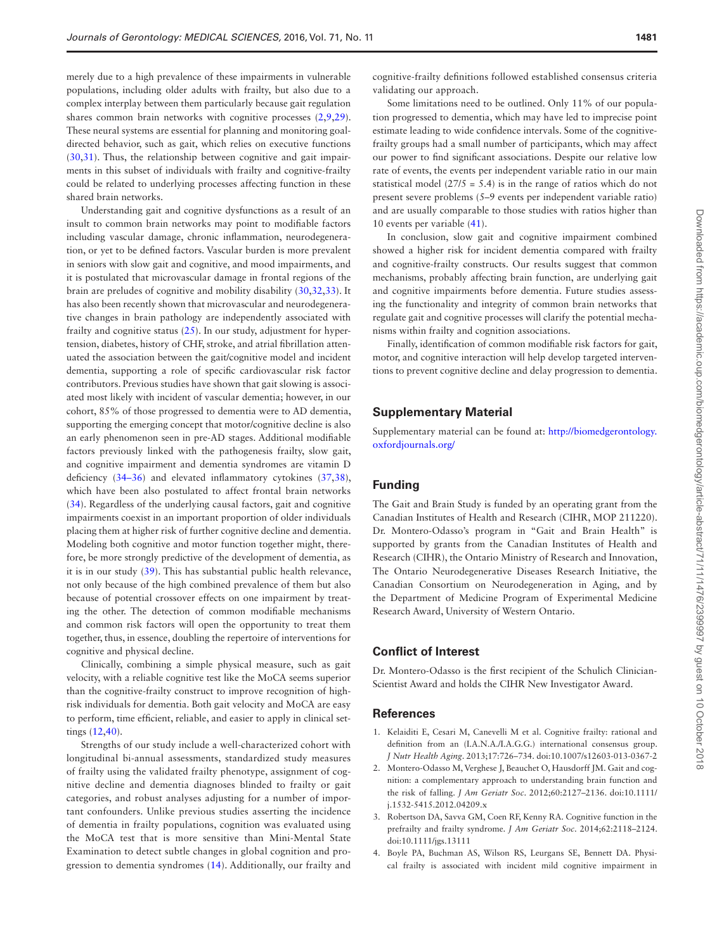merely due to a high prevalence of these impairments in vulnerable populations, including older adults with frailty, but also due to a complex interplay between them particularly because gait regulation shares common brain networks with cognitive processes ([2](#page-5-1)[,9](#page-6-4)[,29](#page-6-20)). These neural systems are essential for planning and monitoring goaldirected behavior, such as gait, which relies on executive functions [\(30](#page-6-21)[,31](#page-6-22)). Thus, the relationship between cognitive and gait impairments in this subset of individuals with frailty and cognitive-frailty could be related to underlying processes affecting function in these shared brain networks.

Understanding gait and cognitive dysfunctions as a result of an insult to common brain networks may point to modifiable factors including vascular damage, chronic inflammation, neurodegeneration, or yet to be defined factors. Vascular burden is more prevalent in seniors with slow gait and cognitive, and mood impairments, and it is postulated that microvascular damage in frontal regions of the brain are preludes of cognitive and mobility disability [\(30](#page-6-21)[,32](#page-6-23),[33](#page-6-24)). It has also been recently shown that microvascular and neurodegenerative changes in brain pathology are independently associated with frailty and cognitive status  $(25)$  $(25)$ . In our study, adjustment for hypertension, diabetes, history of CHF, stroke, and atrial fibrillation attenuated the association between the gait/cognitive model and incident dementia, supporting a role of specific cardiovascular risk factor contributors. Previous studies have shown that gait slowing is associated most likely with incident of vascular dementia; however, in our cohort, 85% of those progressed to dementia were to AD dementia, supporting the emerging concept that motor/cognitive decline is also an early phenomenon seen in pre-AD stages. Additional modifiable factors previously linked with the pathogenesis frailty, slow gait, and cognitive impairment and dementia syndromes are vitamin D deficiency [\(34–36](#page-6-25)) and elevated inflammatory cytokines [\(37](#page-6-26)[,38](#page-6-27)), which have been also postulated to affect frontal brain networks [\(34](#page-6-25)). Regardless of the underlying causal factors, gait and cognitive impairments coexist in an important proportion of older individuals placing them at higher risk of further cognitive decline and dementia. Modeling both cognitive and motor function together might, therefore, be more strongly predictive of the development of dementia, as it is in our study [\(39](#page-6-28)). This has substantial public health relevance, not only because of the high combined prevalence of them but also because of potential crossover effects on one impairment by treating the other. The detection of common modifiable mechanisms and common risk factors will open the opportunity to treat them together, thus, in essence, doubling the repertoire of interventions for cognitive and physical decline.

Clinically, combining a simple physical measure, such as gait velocity, with a reliable cognitive test like the MoCA seems superior than the cognitive-frailty construct to improve recognition of highrisk individuals for dementia. Both gait velocity and MoCA are easy to perform, time efficient, reliable, and easier to apply in clinical settings ([12,](#page-6-7)[40\)](#page-6-29).

Strengths of our study include a well-characterized cohort with longitudinal bi-annual assessments, standardized study measures of frailty using the validated frailty phenotype, assignment of cognitive decline and dementia diagnoses blinded to frailty or gait categories, and robust analyses adjusting for a number of important confounders. Unlike previous studies asserting the incidence of dementia in frailty populations, cognition was evaluated using the MoCA test that is more sensitive than Mini-Mental State Examination to detect subtle changes in global cognition and progression to dementia syndromes ([14](#page-6-9)). Additionally, our frailty and cognitive-frailty definitions followed established consensus criteria validating our approach.

Some limitations need to be outlined. Only 11% of our population progressed to dementia, which may have led to imprecise point estimate leading to wide confidence intervals. Some of the cognitivefrailty groups had a small number of participants, which may affect our power to find significant associations. Despite our relative low rate of events, the events per independent variable ratio in our main statistical model ( $27/5 = 5.4$ ) is in the range of ratios which do not present severe problems (5–9 events per independent variable ratio) and are usually comparable to those studies with ratios higher than 10 events per variable [\(41\)](#page-6-30).

In conclusion, slow gait and cognitive impairment combined showed a higher risk for incident dementia compared with frailty and cognitive-frailty constructs. Our results suggest that common mechanisms, probably affecting brain function, are underlying gait and cognitive impairments before dementia. Future studies assessing the functionality and integrity of common brain networks that regulate gait and cognitive processes will clarify the potential mechanisms within frailty and cognition associations.

Finally, identification of common modifiable risk factors for gait, motor, and cognitive interaction will help develop targeted interventions to prevent cognitive decline and delay progression to dementia.

# **Supplementary Material**

Supplementary material can be found at: [http://biomedgerontology.](http://biomedgerontology.oxfordjournals.org/) [oxfordjournals.org/](http://biomedgerontology.oxfordjournals.org/)

# **Funding**

The Gait and Brain Study is funded by an operating grant from the Canadian Institutes of Health and Research (CIHR, MOP 211220). Dr. Montero-Odasso's program in "Gait and Brain Health" is supported by grants from the Canadian Institutes of Health and Research (CIHR), the Ontario Ministry of Research and Innovation, The Ontario Neurodegenerative Diseases Research Initiative, the Canadian Consortium on Neurodegeneration in Aging, and by the Department of Medicine Program of Experimental Medicine Research Award, University of Western Ontario.

## **Conflict of Interest**

Dr. Montero-Odasso is the first recipient of the Schulich Clinician-Scientist Award and holds the CIHR New Investigator Award.

#### **References**

- <span id="page-5-0"></span>1. Kelaiditi E, Cesari M, Canevelli M et al. Cognitive frailty: rational and definition from an (I.A.N.A./I.A.G.G.) international consensus group. *J Nutr Health Aging*. 2013;17:726–734. doi:10.1007/s12603-013-0367-2
- <span id="page-5-1"></span>2. Montero-Odasso M, Verghese J, Beauchet O, Hausdorff JM. Gait and cognition: a complementary approach to understanding brain function and the risk of falling. *J Am Geriatr Soc*. 2012;60:2127–2136. doi:10.1111/ j.1532-5415.2012.04209.x
- <span id="page-5-2"></span>3. Robertson DA, Savva GM, Coen RF, Kenny RA. Cognitive function in the prefrailty and frailty syndrome. *J Am Geriatr Soc*. 2014;62:2118–2124. doi:10.1111/jgs.13111
- <span id="page-5-3"></span>4. Boyle PA, Buchman AS, Wilson RS, Leurgans SE, Bennett DA. Physical frailty is associated with incident mild cognitive impairment in